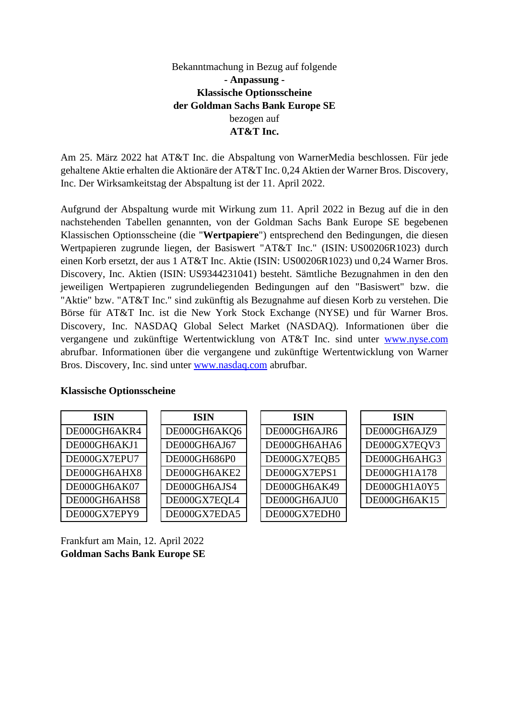## Bekanntmachung in Bezug auf folgende **- Anpassung - Klassische Optionsscheine der Goldman Sachs Bank Europe SE**  bezogen auf **AT&T Inc.**

Am 25. März 2022 hat AT&T Inc. die Abspaltung von WarnerMedia beschlossen. Für jede gehaltene Aktie erhalten die Aktionäre der AT&T Inc. 0,24 Aktien der Warner Bros. Discovery, Inc. Der Wirksamkeitstag der Abspaltung ist der 11. April 2022.

Aufgrund der Abspaltung wurde mit Wirkung zum 11. April 2022 in Bezug auf die in den nachstehenden Tabellen genannten, von der Goldman Sachs Bank Europe SE begebenen Klassischen Optionsscheine (die "**Wertpapiere**") entsprechend den Bedingungen, die diesen Wertpapieren zugrunde liegen, der Basiswert "AT&T Inc." (ISIN: US00206R1023) durch einen Korb ersetzt, der aus 1 AT&T Inc. Aktie (ISIN: US00206R1023) und 0,24 Warner Bros. Discovery, Inc. Aktien (ISIN: US9344231041) besteht. Sämtliche Bezugnahmen in den den jeweiligen Wertpapieren zugrundeliegenden Bedingungen auf den "Basiswert" bzw. die "Aktie" bzw. "AT&T Inc." sind zukünftig als Bezugnahme auf diesen Korb zu verstehen. Die Börse für AT&T Inc. ist die New York Stock Exchange (NYSE) und für Warner Bros. Discovery, Inc. NASDAQ Global Select Market (NASDAQ). Informationen über die vergangene und zukünftige Wertentwicklung von AT&T Inc. sind unter [www.nyse.com](http://www.nyse.com/) abrufbar. Informationen über die vergangene und zukünftige Wertentwicklung von Warner Bros. Discovery, Inc. sind unter [www.nasdaq.com](http://www.nasdaq.com/) abrufbar.

| <b>ISIN</b>  | <b>ISIN</b>  | <b>ISIN</b>  | <b>ISIN</b>  |
|--------------|--------------|--------------|--------------|
| DE000GH6AKR4 | DE000GH6AKQ6 | DE000GH6AJR6 | DE000GH6AJZ9 |
| DE000GH6AKJ1 | DE000GH6AJ67 | DE000GH6AHA6 | DE000GX7EQV3 |
| DE000GX7EPU7 | DE000GH686P0 | DE000GX7EQB5 | DE000GH6AHG3 |
| DE000GH6AHX8 | DE000GH6AKE2 | DE000GX7EPS1 | DE000GH1A178 |
| DE000GH6AK07 | DE000GH6AJS4 | DE000GH6AK49 | DE000GH1A0Y5 |
| DE000GH6AHS8 | DE000GX7EQL4 | DE000GH6AJU0 | DE000GH6AK15 |
| DE000GX7EPY9 | DE000GX7EDA5 | DE000GX7EDH0 |              |

## **Klassische Optionsscheine**

Frankfurt am Main, 12. April 2022 **Goldman Sachs Bank Europe SE**